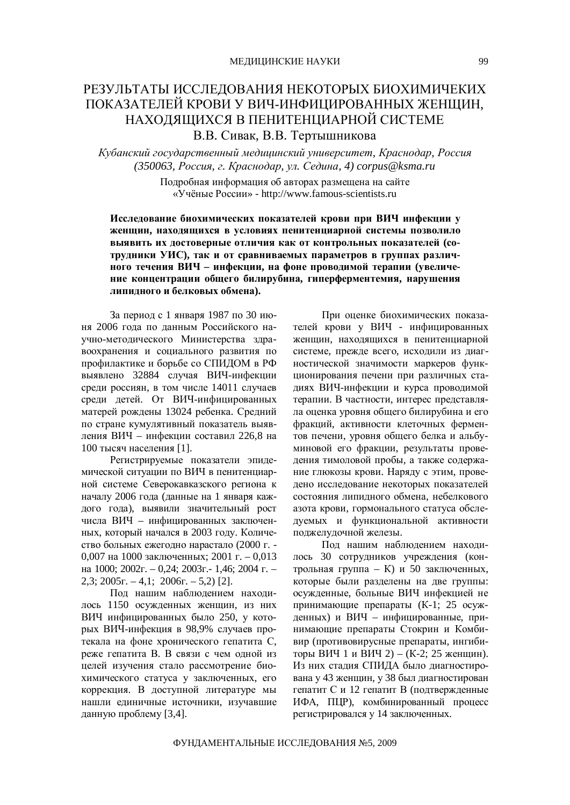## РЕЗУЛЬТАТЫ ИССЛЕДОВАНИЯ НЕКОТОРЫХ БИОХИМИЧЕКИХ ПОКАЗАТЕЛЕЙ КРОВИ У ВИЧ-ИНФИЦИРОВАННЫХ ЖЕНЩИН, НАХОДЯЩИХСЯ В ПЕНИТЕНЦИАРНОЙ СИСТЕМЕ В.В. Сивак, В.В. Тертышникова

 $K$ убанский государственный медицинский университет, Краснодар, Россия *(350063, Ɋɨɫɫɢɹ, ɝ. Ʉɪɚɫɧɨɞɚɪ, ɭɥ. ɋɟɞɢɧɚ, 4) [corpus@ksma.ru](mailto:corpus@ksma.ru)*

> Подробная информация об авторах размещена на сайте ©ɍɱɺɧɵɟɊɨɫɫɢɢ» -<http://www.famous-scientists.ru>

Исследование биохимических показателей крови при ВИЧ инфекции у Женщин, находящихся в условиях пенитенциарной системы позволило **ɜɵɹɜɢɬɶɢɯɞɨɫɬɨɜɟɪɧɵɟɨɬɥɢɱɢɹɤɚɤɨɬɤɨɧɬɪɨɥɶɧɵɯɩɨɤɚɡɚɬɟɥɟɣ (ɫɨ**трудники УИС), так и от сравниваемых параметров в группах различного течения ВИЧ - инфекции, на фоне проводимой терапии (увеличе**ние концентрации общего билирубина, гиперферментемия, нарушения** дипидного и белковых обмена).

За период с 1 января 1987 по 30 июня 2006 года по данным Российского научно-методического Министерства здравоохранения и социального развития по профилактике и борьбе со СПИДОМ в РФ выявлено 32884 случая ВИЧ-инфекции среди россиян, в том числе 14011 случаев среди детей. От ВИЧ-инфицированных матерей рождены 13024 ребенка. Средний по стране кумулятивный показатель выявления ВИЧ – инфекции составил 226,8 на 100 тысяч населения [1].

Регистрируемые показатели эпидемической ситуации по ВИЧ в пенитенциарной системе Северокавказского региона к началу 2006 года (данные на 1 января каждого года), выявили значительный рост числа ВИЧ – инфицированных заключенных, который начался в 2003 году. Количество больных ежегодно нарастало (2000 г. -0,007 на 1000 заключенных; 2001 г. – 0,013 на 1000; 2002г. – 0,24; 2003г. - 1,46; 2004 г. –  $2,3$ :  $2005r - 4,1$ ;  $2006r - 5,2$ ) [2].

Под нашим наблюдением находилось 1150 осужденных женщин, из них ВИЧ инфицированных было 250, у которых ВИЧ-инфекция в 98,9% случаев протекала на фоне хронического гепатита С, реже гепатита В. В связи с чем одной из целей изучения стало рассмотрение биохимического статуса у заключенных, его коррекция. В доступной литературе мы нашли единичные источники, изучавшие данную проблему [3,4].

При оценке биохимических показателей крови у ВИЧ - инфицированных женщин, находящихся в пенитенциарной системе, прежде всего, исходили из диагностической значимости маркеров функционирования печени при различных стадиях ВИЧ-инфекции и курса проводимой терапии. В частности, интерес представляла оценка уровня общего билирубина и его фракций, активности клеточных ферментов печени, уровня общего белка и альбуминовой его фракции, результаты проведения тимоловой пробы, а также содержание глюкозы крови. Наряду с этим, проведено исследование некоторых показателей состояния липидного обмена, небелкового азота крови, гормонального статуса обследуемых и функциональной активности поджелудочной железы.

Под нашим наблюдением находилось 30 сотрудников учреждения (контрольная группа - К) и 50 заключенных. которые были разлелены на лве группы: осужденные, больные ВИЧ инфекцией не принимающие препараты (К-1; 25 осужденных) и ВИЧ - инфицированные. принимающие препараты Стокрин и Комбивир (противовирусные препараты, ингибиторы ВИЧ 1 и ВИЧ 2) – (К-2; 25 женщин). Из них стадия СПИДА было диагностирована у 43 женщин, у 38 был диагностирован гепатит С и 12 гепатит В (подтвержденные ИФА, ПЦР), комбинированный процесс регистрировался у 14 заключенных.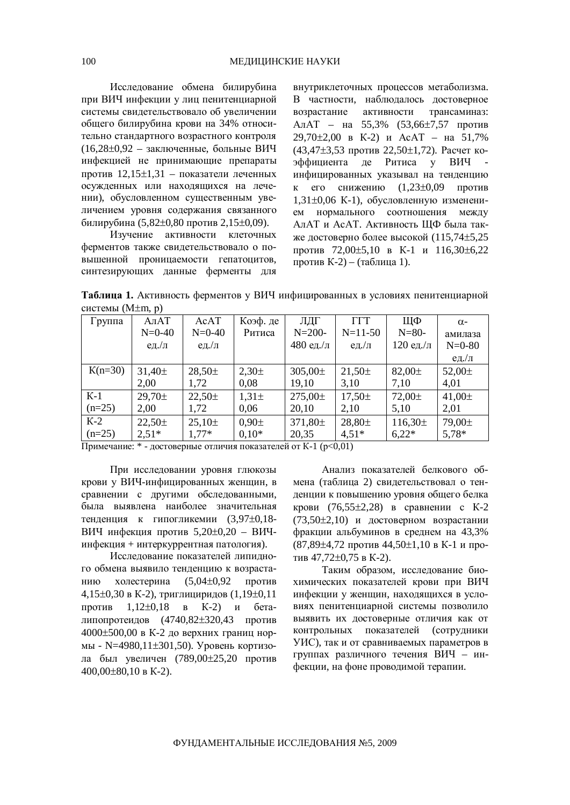Исследование обмена билирубина при ВИЧ инфекции у лиц пенитенциарной системы свидетельствовало об увеличении общего билирубина крови на 34% относительно стандартного возрастного контроля  $(16,28\pm0.92 - 3a$ ключенные, больные ВИЧ инфекцией не принимающие препараты против 12,15±1,31 – показатели леченных осужденных или находящихся на лечении), обусловленном существенным увеличением уровня содержания связанного билирубина (5,82±0,80 против 2,15±0,09).

Изучение активности клеточных ферментов также свидетельствовало о по-**ЕБ**ышенной проницаемости гепатоцитов, синтезирующих данные ферменты для

внутриклеточных процессов метаболизма. В частности, наблюдалось достоверное возрастание активности трансаминаз: АлАТ – на 55,3% (53,66±7,57 против  $29,70\pm2,00$  B K-2)  $\mu$  AcAT –  $\text{Ha}$  51,7%  $(43.47\pm3.53$  против  $22.50\pm1.72$ ). Расчет коэффициента де Ритиса у ВИЧ инфицированных указывал на тенденцию к его снижению  $(1,23\pm0,09$  против  $1,31\pm0,06$  К-1), обусловленную изменением нормального соотношения между АлАТ и АсАТ. Активность ЩФ была также достоверно более высокой  $(115,74\pm5,25)$ против 72,00 $\pm$ 5,10 в К-1 и 116,30 $\pm$ 6,22 против К-2) – (таблица 1).

Таблица 1. Активность ферментов у ВИЧ инфицированных в условиях пенитенциарной системы  $(M \pm m, p)$ 

| Группа    | A <sub>II</sub> AT | AcAT        | Коэф. де   | ЛДГ          | <b>TTT</b>         | ЩФ           | $\alpha$ -              |
|-----------|--------------------|-------------|------------|--------------|--------------------|--------------|-------------------------|
|           | $N=0-40$           | N=0-40      | Ритиса     | $N = 200 -$  | $N=11-50$          | $N = 80-$    | амилаза                 |
|           | ед./л              | ед./л       |            | 480 ед./л    | ед./л              | 120 ед./л    | $N=0-80$                |
|           |                    |             |            |              |                    |              | $e_{\text{A}}/\text{h}$ |
| $K(n=30)$ | $31,40 \pm$        | $28,50 \pm$ | $2,30\pm$  | $305,00 \pm$ | $21,50 \pm$        | $82,00 \pm$  | 52,00 $\pm$             |
|           | 2,00               | 1,72        | 0,08       | 19,10        | 3,10               | 7,10         | 4,01                    |
| $K-1$     | $29,70 \pm$        | $22,50 \pm$ | $1,31\pm$  | $275,00 \pm$ | $17,50 \pm$        | $72,00 \pm$  | 41,00 $\pm$             |
| $(n=25)$  | 2,00               | 1,72        | 0,06       | 20,10        | 2,10               | 5,10         | 2,01                    |
| $K-2$     | $22.50 \pm$        | $25,10\pm$  | $0,90 \pm$ | 371,80±      | 28,80 <sup>±</sup> | $116,30 \pm$ | 79,00±                  |
| $(n=25)$  | $2,51*$            | $1,77*$     | $0,10*$    | 20,35        | $4,51*$            | $6,22*$      | $5,78*$                 |

 $\Pi$ римечание: \* - достоверные отличия показателей от К-1 ( $p<0,01$ )

При исследовании уровня глюкозы крови у ВИЧ-инфицированных женщин, в сравнении с другими обследованными, была выявлена наиболее значительная тенленция к гипогликемии (3,97 $\pm$ 0,18-ВИЧ инфекция против 5,20±0,20 – ВИЧинфекция + интеркуррентная патология).

Исслелование показателей липилного обмена выявило тенденцию к возрастанию холестерина  $(5,04\pm0,92)$  против 4,15 $\pm$ 0,30 в К-2), триглициридов (1,19 $\pm$ 0,11 против  $1,12\pm0,18$  в К-2) и беталипопротеилов (4740,82 $\pm$ 320,43 против 4000±500,00 в К-2 до верхних границ нормы - N=4980,11 $\pm$ 301,50). Уровень кортизола был увеличен (789,00±25,20 против  $400.00\pm80.10$  B K-2).

Анализ показателей белкового обмена (таблица 2) свидетельствовал о тенденции к повышению уровня общего белка крови (76,55 $\pm$ 2,28) в сравнении с К-2  $(73,50\pm2,10)$  и достоверном возрастании фракции альбуминов в среднем на 43,3%  $(87,89\pm4,72 \text{或} 44,50\pm1,10 \text{ B K-1 }\mu \text{m}$ тив  $47,72\pm0,75$  в К-2).

Таким образом, исследование биохимических показателей крови при ВИЧ инфекции у женщин, находящихся в условиях пенитенциарной системы позволило выявить их достоверные отличия как от контрольных показателей (сотрудники УИС), так и от сравниваемых параметров в группах различного течения ВИЧ - инфекции, на фоне проводимой терапии.